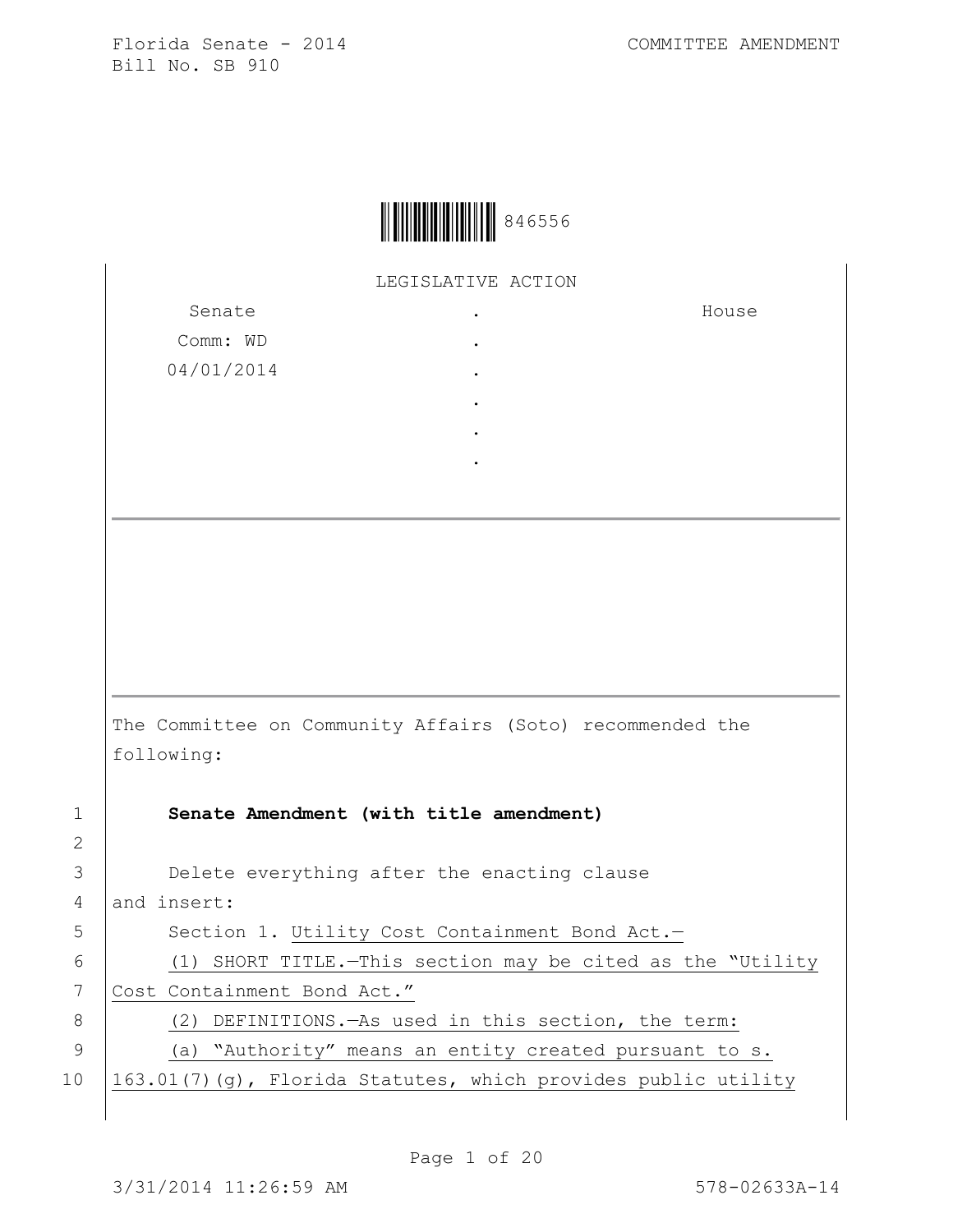

LEGISLATIVE ACTION

Senate Comm: WD 04/01/2014 . . . . . . House The Committee on Community Affairs (Soto) recommended the following: 1 **Senate Amendment (with title amendment)** 2 3 **Delete everything after the enacting clause** 4 and insert: 5 | Section 1. Utility Cost Containment Bond Act.-6 (1) SHORT TITLE.—This section may be cited as the "Utility 7 Cost Containment Bond Act." 8 (2) DEFINITIONS.—As used in this section, the term: 9 (a) "Authority" means an entity created pursuant to s. 10  $\left| \frac{163.01(7)}{9} \right|$ , Florida Statutes, which provides public utility

Page 1 of 20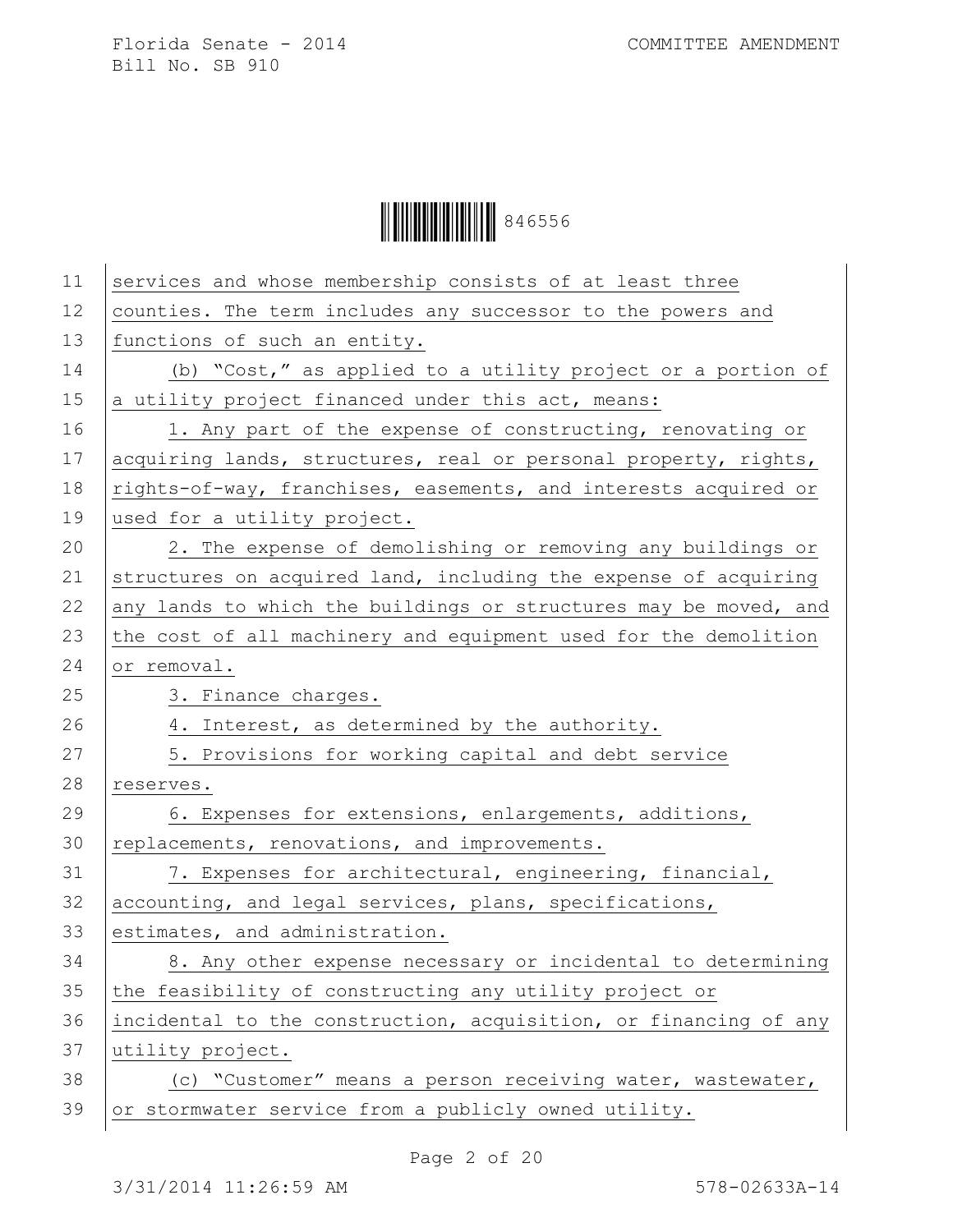| 11 | services and whose membership consists of at least three         |
|----|------------------------------------------------------------------|
| 12 | counties. The term includes any successor to the powers and      |
| 13 | functions of such an entity.                                     |
| 14 | (b) "Cost," as applied to a utility project or a portion of      |
| 15 | a utility project financed under this act, means:                |
| 16 | 1. Any part of the expense of constructing, renovating or        |
| 17 | acquiring lands, structures, real or personal property, rights,  |
| 18 | rights-of-way, franchises, easements, and interests acquired or  |
| 19 | used for a utility project.                                      |
| 20 | 2. The expense of demolishing or removing any buildings or       |
| 21 | structures on acquired land, including the expense of acquiring  |
| 22 | any lands to which the buildings or structures may be moved, and |
| 23 | the cost of all machinery and equipment used for the demolition  |
| 24 | or removal.                                                      |
| 25 | 3. Finance charges.                                              |
| 26 | 4. Interest, as determined by the authority.                     |
| 27 | 5. Provisions for working capital and debt service               |
| 28 | reserves.                                                        |
|    |                                                                  |
| 29 | 6. Expenses for extensions, enlargements, additions,             |
| 30 | replacements, renovations, and improvements.                     |
| 31 | 7. Expenses for architectural, engineering, financial,           |
| 32 | accounting, and legal services, plans, specifications,           |
| 33 | estimates, and administration.                                   |
| 34 | 8. Any other expense necessary or incidental to determining      |
| 35 | the feasibility of constructing any utility project or           |
| 36 | incidental to the construction, acquisition, or financing of any |
| 37 | utility project.                                                 |
| 38 | (c) "Customer" means a person receiving water, wastewater,       |
| 39 | or stormwater service from a publicly owned utility.             |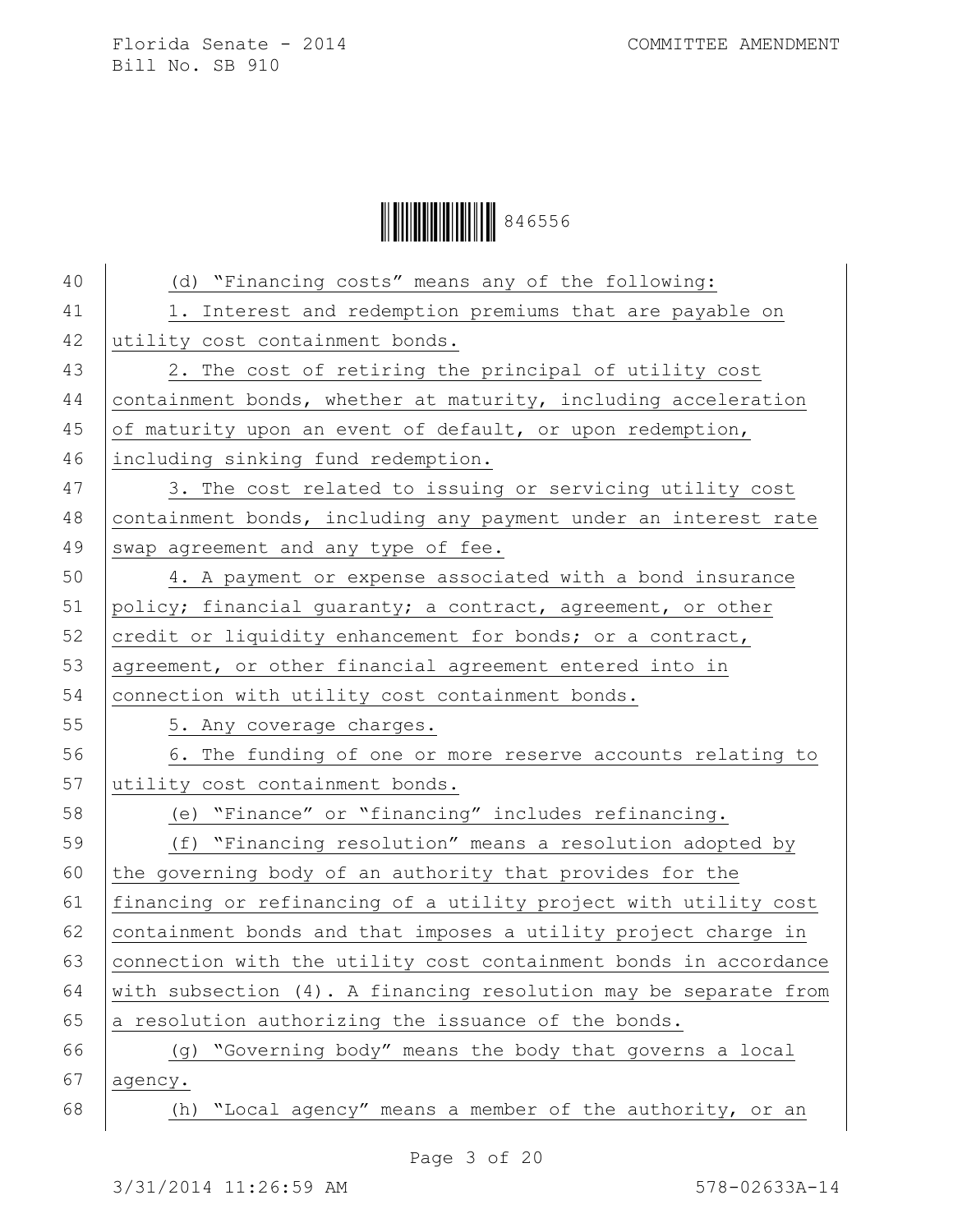Ì846556HÎ846556

| 40 | (d) "Financing costs" means any of the following:                |
|----|------------------------------------------------------------------|
| 41 | 1. Interest and redemption premiums that are payable on          |
| 42 | utility cost containment bonds.                                  |
| 43 | 2. The cost of retiring the principal of utility cost            |
| 44 | containment bonds, whether at maturity, including acceleration   |
| 45 | of maturity upon an event of default, or upon redemption,        |
| 46 | including sinking fund redemption.                               |
| 47 | 3. The cost related to issuing or servicing utility cost         |
| 48 | containment bonds, including any payment under an interest rate  |
| 49 | swap agreement and any type of fee.                              |
| 50 | 4. A payment or expense associated with a bond insurance         |
| 51 | policy; financial quaranty; a contract, agreement, or other      |
| 52 | credit or liquidity enhancement for bonds; or a contract,        |
| 53 | agreement, or other financial agreement entered into in          |
| 54 | connection with utility cost containment bonds.                  |
| 55 | 5. Any coverage charges.                                         |
| 56 | 6. The funding of one or more reserve accounts relating to       |
| 57 | utility cost containment bonds.                                  |
| 58 | (e) "Finance" or "financing" includes refinancing.               |
| 59 | (f) "Financing resolution" means a resolution adopted by         |
| 60 | the governing body of an authority that provides for the         |
| 61 | financing or refinancing of a utility project with utility cost  |
| 62 | containment bonds and that imposes a utility project charge in   |
| 63 | connection with the utility cost containment bonds in accordance |
| 64 | with subsection (4). A financing resolution may be separate from |
| 65 | a resolution authorizing the issuance of the bonds.              |
| 66 | "Governing body" means the body that governs a local<br>(q)      |
| 67 | agency.                                                          |
| 68 | "Local agency" means a member of the authority, or an<br>(h)     |
|    |                                                                  |

Page 3 of 20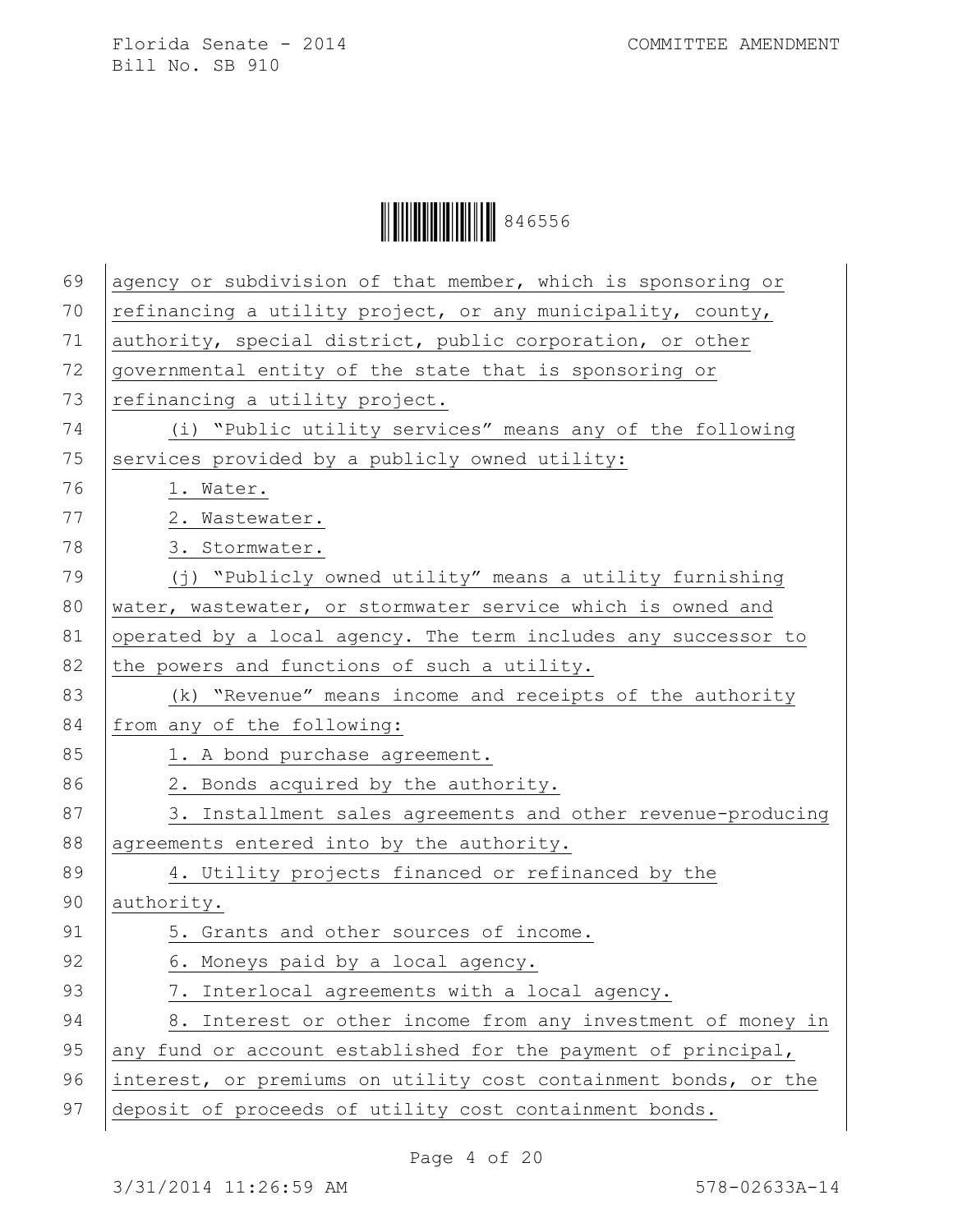Ì846556HÎ846556

| 69 | agency or subdivision of that member, which is sponsoring or    |
|----|-----------------------------------------------------------------|
| 70 | refinancing a utility project, or any municipality, county,     |
| 71 | authority, special district, public corporation, or other       |
| 72 | governmental entity of the state that is sponsoring or          |
| 73 | refinancing a utility project.                                  |
| 74 | (i) "Public utility services" means any of the following        |
| 75 | services provided by a publicly owned utility:                  |
| 76 | 1. Water.                                                       |
| 77 | 2. Wastewater.                                                  |
| 78 | 3. Stormwater.                                                  |
| 79 | (j) "Publicly owned utility" means a utility furnishing         |
| 80 | water, wastewater, or stormwater service which is owned and     |
| 81 | operated by a local agency. The term includes any successor to  |
| 82 | the powers and functions of such a utility.                     |
| 83 | (k) "Revenue" means income and receipts of the authority        |
| 84 | from any of the following:                                      |
| 85 | 1. A bond purchase agreement.                                   |
| 86 | 2. Bonds acquired by the authority.                             |
| 87 | 3. Installment sales agreements and other revenue-producing     |
| 88 | agreements entered into by the authority.                       |
| 89 | 4. Utility projects financed or refinanced by the               |
| 90 | authority.                                                      |
| 91 | 5. Grants and other sources of income.                          |
| 92 | 6. Moneys paid by a local agency.                               |
| 93 | 7. Interlocal agreements with a local agency.                   |
| 94 | 8. Interest or other income from any investment of money in     |
| 95 | any fund or account established for the payment of principal,   |
| 96 | interest, or premiums on utility cost containment bonds, or the |
| 97 | deposit of proceeds of utility cost containment bonds.          |
|    |                                                                 |

Page 4 of 20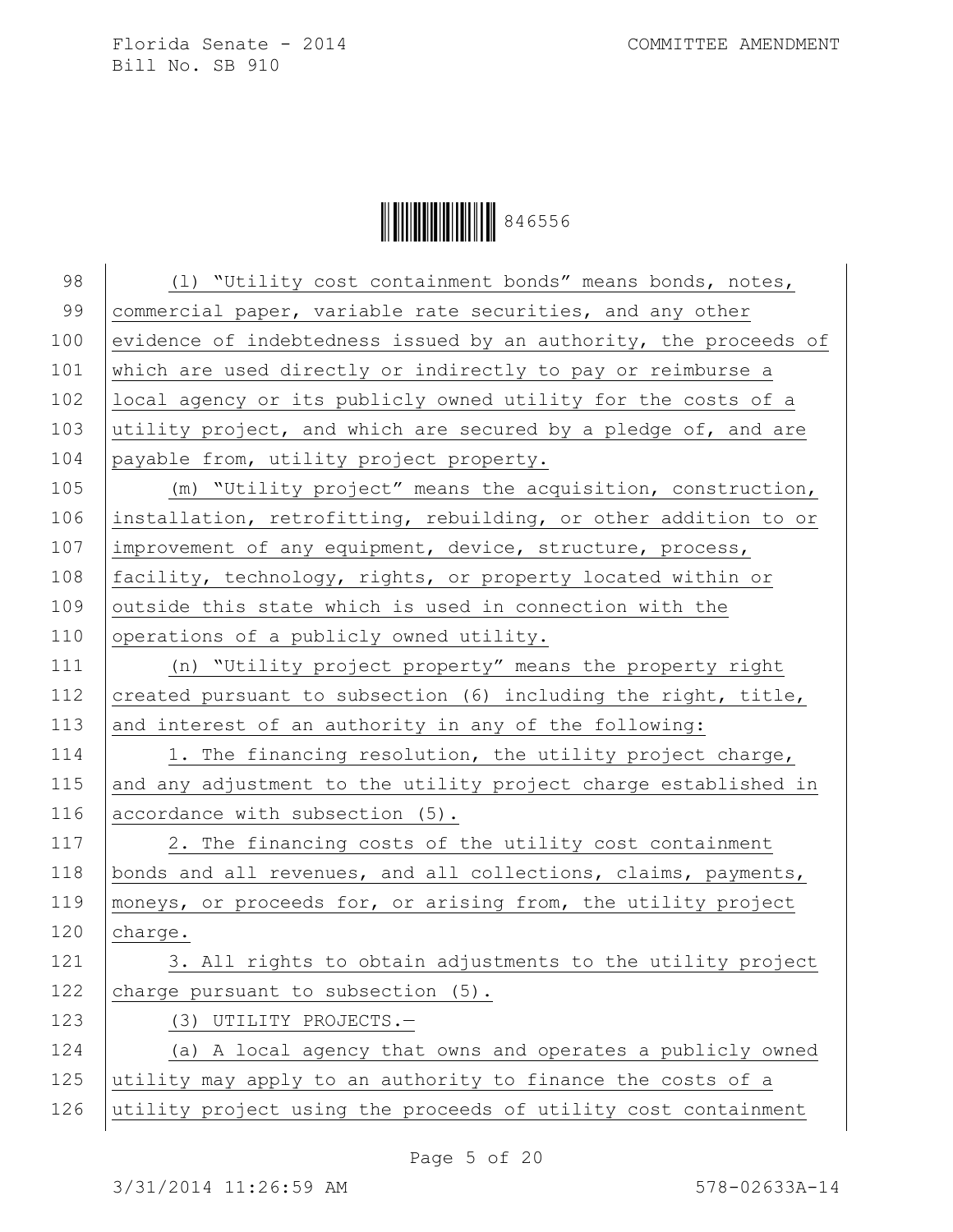| 98  | (1) "Utility cost containment bonds" means bonds, notes,         |
|-----|------------------------------------------------------------------|
| 99  | commercial paper, variable rate securities, and any other        |
| 100 | evidence of indebtedness issued by an authority, the proceeds of |
| 101 | which are used directly or indirectly to pay or reimburse a      |
| 102 | local agency or its publicly owned utility for the costs of a    |
| 103 | utility project, and which are secured by a pledge of, and are   |
| 104 | payable from, utility project property.                          |
| 105 | (m) "Utility project" means the acquisition, construction,       |
| 106 | installation, retrofitting, rebuilding, or other addition to or  |
| 107 | improvement of any equipment, device, structure, process,        |
| 108 | facility, technology, rights, or property located within or      |
| 109 | outside this state which is used in connection with the          |
| 110 | operations of a publicly owned utility.                          |
| 111 | (n) "Utility project property" means the property right          |
| 112 | created pursuant to subsection (6) including the right, title,   |
| 113 | and interest of an authority in any of the following:            |
| 114 | 1. The financing resolution, the utility project charge,         |
| 115 | and any adjustment to the utility project charge established in  |
| 116 | accordance with subsection (5).                                  |
| 117 | 2. The financing costs of the utility cost containment           |
| 118 | bonds and all revenues, and all collections, claims, payments,   |
| 119 | moneys, or proceeds for, or arising from, the utility project    |
| 120 | charge.                                                          |
| 121 | 3. All rights to obtain adjustments to the utility project       |
| 122 | charge pursuant to subsection (5).                               |
| 123 | (3) UTILITY PROJECTS.-                                           |
| 124 | (a) A local agency that owns and operates a publicly owned       |
| 125 | utility may apply to an authority to finance the costs of a      |
| 126 | utility project using the proceeds of utility cost containment   |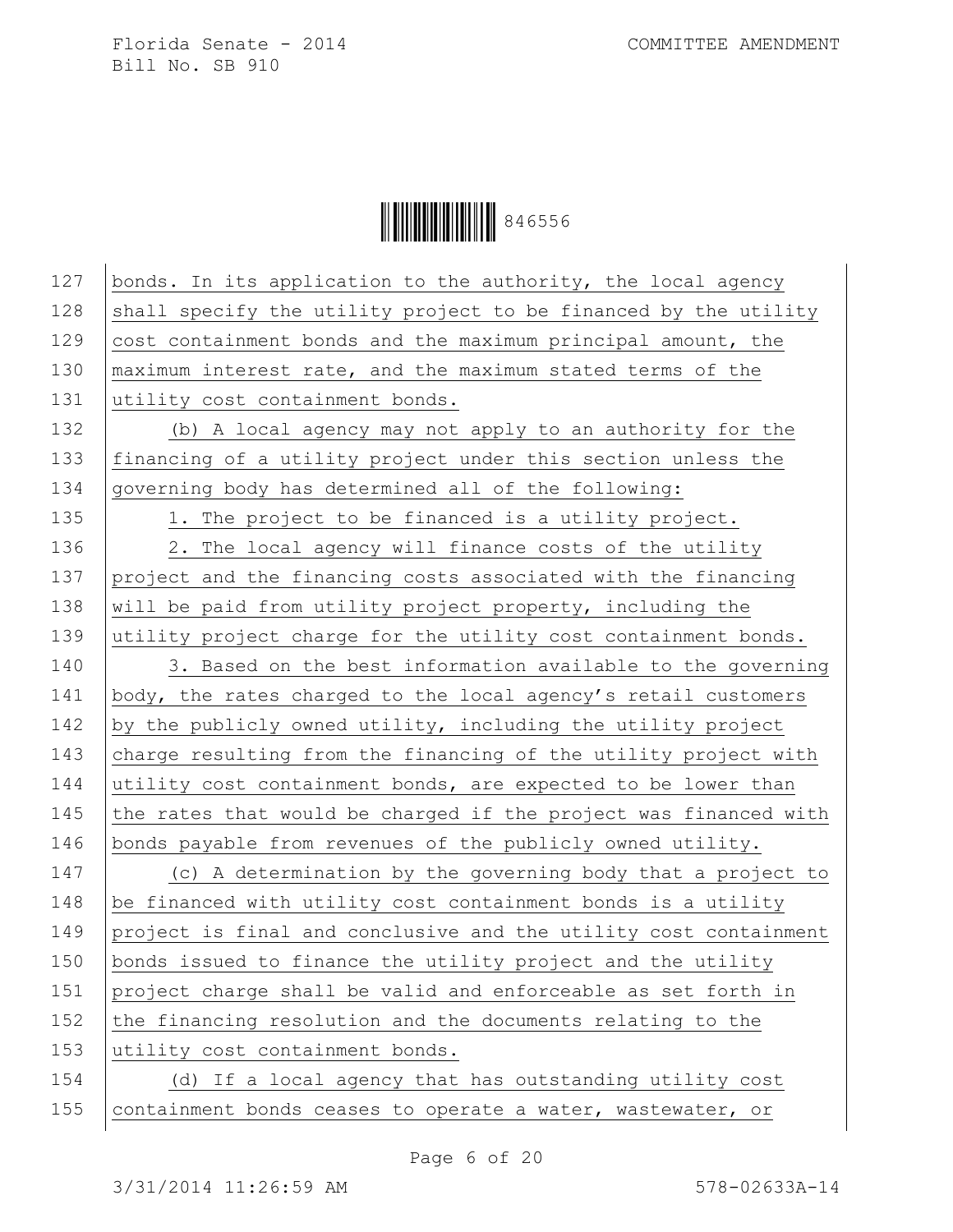| 127 | bonds. In its application to the authority, the local agency     |
|-----|------------------------------------------------------------------|
| 128 | shall specify the utility project to be financed by the utility  |
| 129 | cost containment bonds and the maximum principal amount, the     |
| 130 | maximum interest rate, and the maximum stated terms of the       |
| 131 | utility cost containment bonds.                                  |
| 132 | (b) A local agency may not apply to an authority for the         |
| 133 | financing of a utility project under this section unless the     |
| 134 | governing body has determined all of the following:              |
| 135 | 1. The project to be financed is a utility project.              |
| 136 | 2. The local agency will finance costs of the utility            |
| 137 | project and the financing costs associated with the financing    |
| 138 | will be paid from utility project property, including the        |
| 139 | utility project charge for the utility cost containment bonds.   |
| 140 | 3. Based on the best information available to the governing      |
| 141 | body, the rates charged to the local agency's retail customers   |
| 142 | by the publicly owned utility, including the utility project     |
| 143 | charge resulting from the financing of the utility project with  |
| 144 | utility cost containment bonds, are expected to be lower than    |
| 145 | the rates that would be charged if the project was financed with |
| 146 | bonds payable from revenues of the publicly owned utility.       |
| 147 | (c) A determination by the governing body that a project to      |
| 148 | be financed with utility cost containment bonds is a utility     |
| 149 | project is final and conclusive and the utility cost containment |
| 150 | bonds issued to finance the utility project and the utility      |
| 151 | project charge shall be valid and enforceable as set forth in    |
| 152 | the financing resolution and the documents relating to the       |
| 153 | utility cost containment bonds.                                  |
| 154 | (d) If a local agency that has outstanding utility cost          |
| 155 | containment bonds ceases to operate a water, wastewater, or      |
|     |                                                                  |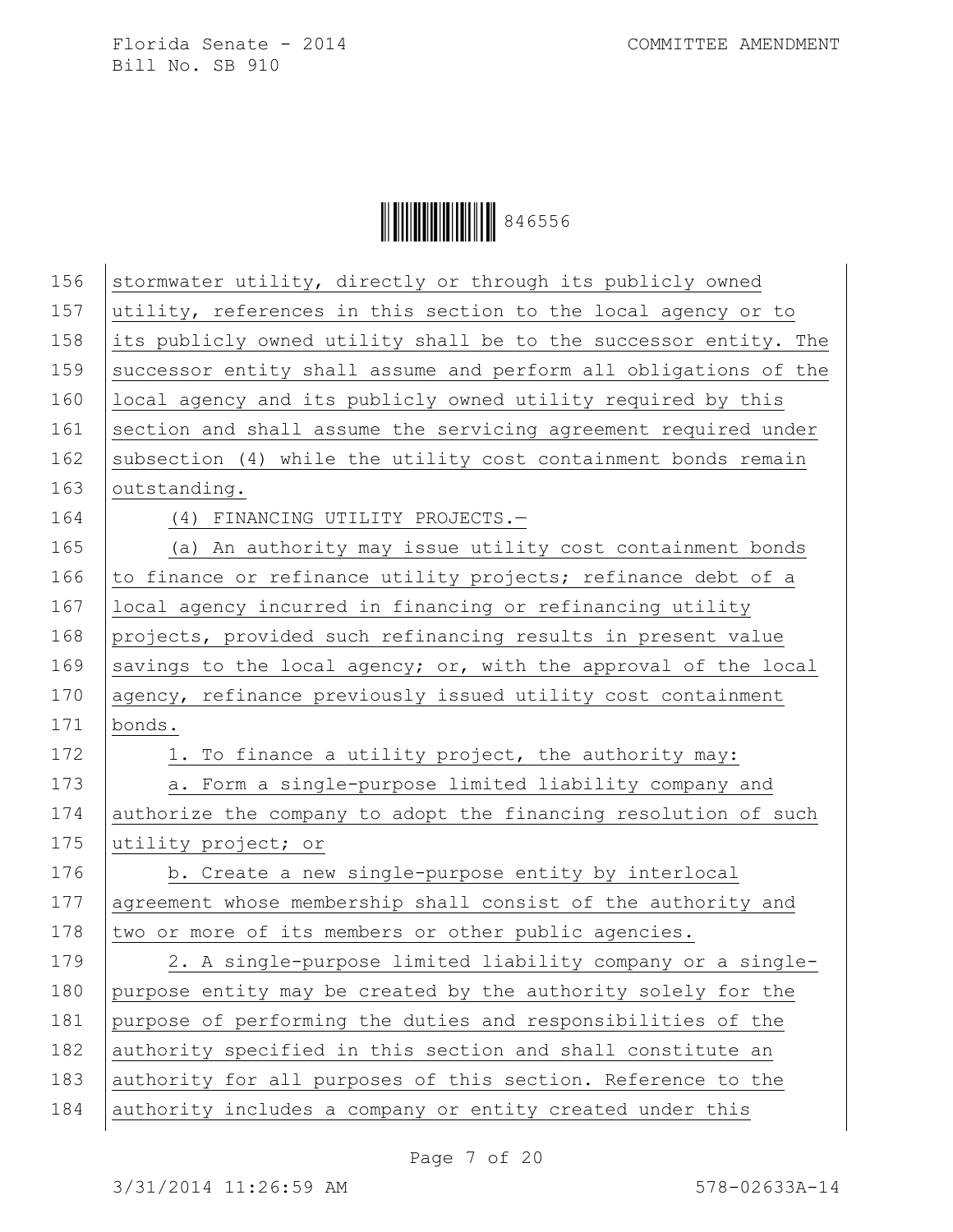| 156 | stormwater utility, directly or through its publicly owned       |
|-----|------------------------------------------------------------------|
| 157 | utility, references in this section to the local agency or to    |
| 158 | its publicly owned utility shall be to the successor entity. The |
| 159 | successor entity shall assume and perform all obligations of the |
| 160 | local agency and its publicly owned utility required by this     |
| 161 | section and shall assume the servicing agreement required under  |
| 162 | subsection (4) while the utility cost containment bonds remain   |
| 163 | outstanding.                                                     |
| 164 | (4) FINANCING UTILITY PROJECTS.-                                 |
| 165 | (a) An authority may issue utility cost containment bonds        |
| 166 | to finance or refinance utility projects; refinance debt of a    |
| 167 | local agency incurred in financing or refinancing utility        |
| 168 | projects, provided such refinancing results in present value     |
| 169 | savings to the local agency; or, with the approval of the local  |
| 170 | agency, refinance previously issued utility cost containment     |
| 171 | bonds.                                                           |
| 172 | 1. To finance a utility project, the authority may:              |
| 173 | a. Form a single-purpose limited liability company and           |
| 174 | authorize the company to adopt the financing resolution of such  |
| 175 | utility project; or                                              |
| 176 | b. Create a new single-purpose entity by interlocal              |
| 177 | agreement whose membership shall consist of the authority and    |
| 178 | two or more of its members or other public agencies.             |
| 179 | 2. A single-purpose limited liability company or a single-       |
| 180 | purpose entity may be created by the authority solely for the    |
| 181 | purpose of performing the duties and responsibilities of the     |
| 182 | authority specified in this section and shall constitute an      |
| 183 | authority for all purposes of this section. Reference to the     |
| 184 | authority includes a company or entity created under this        |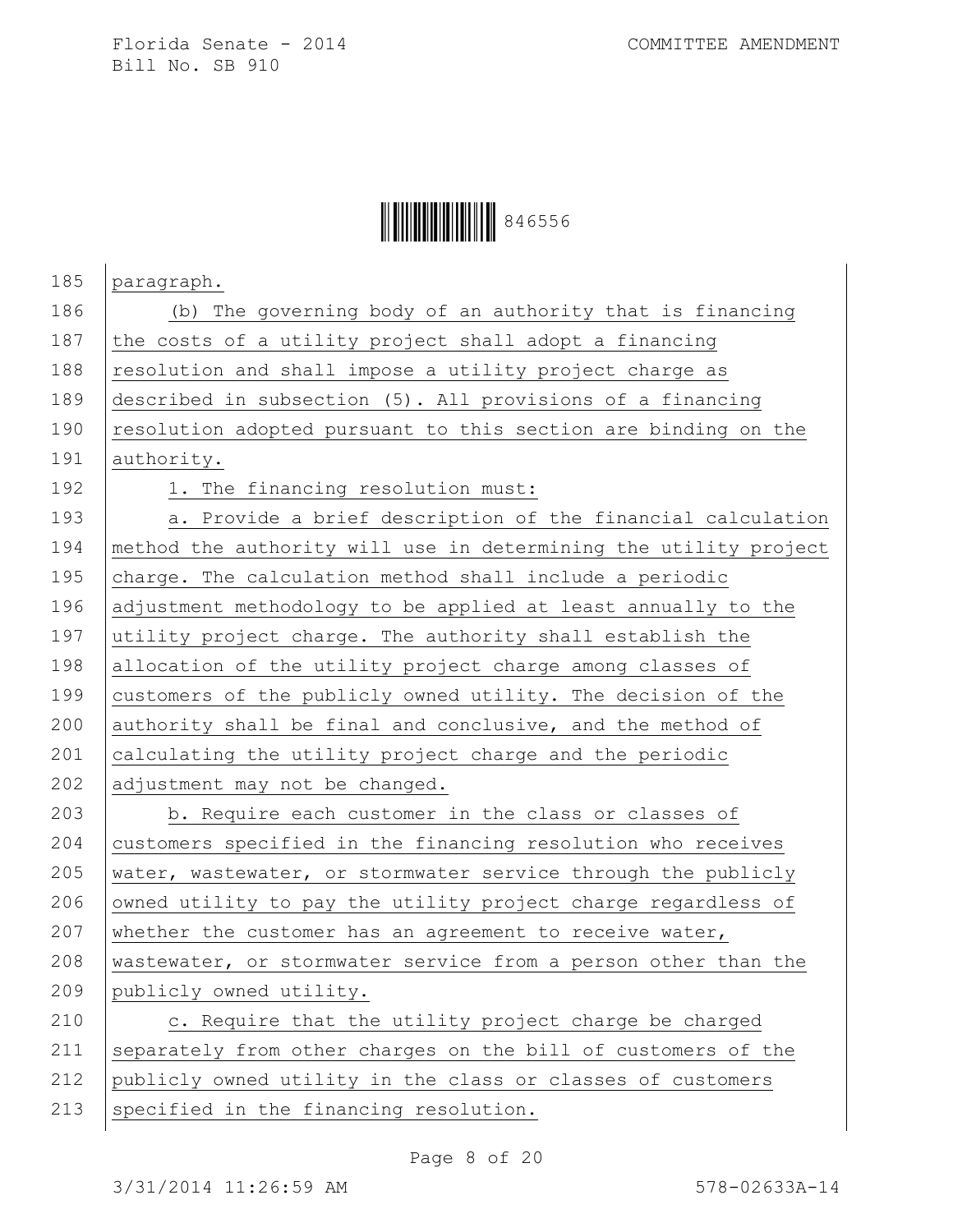## Ì846556HÎ846556

| 185 | paragraph.                                                       |
|-----|------------------------------------------------------------------|
| 186 | (b) The governing body of an authority that is financing         |
| 187 | the costs of a utility project shall adopt a financing           |
| 188 | resolution and shall impose a utility project charge as          |
| 189 | described in subsection (5). All provisions of a financing       |
| 190 | resolution adopted pursuant to this section are binding on the   |
| 191 | authority.                                                       |
| 192 | 1. The financing resolution must:                                |
| 193 | a. Provide a brief description of the financial calculation      |
| 194 | method the authority will use in determining the utility project |
| 195 | charge. The calculation method shall include a periodic          |
| 196 | adjustment methodology to be applied at least annually to the    |
| 197 | utility project charge. The authority shall establish the        |
| 198 | allocation of the utility project charge among classes of        |
| 199 | customers of the publicly owned utility. The decision of the     |
| 200 | authority shall be final and conclusive, and the method of       |
| 201 | calculating the utility project charge and the periodic          |
| 202 | adjustment may not be changed.                                   |
| 203 | b. Require each customer in the class or classes of              |
| 204 | customers specified in the financing resolution who receives     |
| 205 | water, wastewater, or stormwater service through the publicly    |
| 206 | owned utility to pay the utility project charge regardless of    |
| 207 | whether the customer has an agreement to receive water,          |
| 208 | wastewater, or stormwater service from a person other than the   |
| 209 | publicly owned utility.                                          |
| 210 | c. Require that the utility project charge be charged            |
| 211 | separately from other charges on the bill of customers of the    |
| 212 | publicly owned utility in the class or classes of customers      |
| 213 | specified in the financing resolution.                           |

Page 8 of 20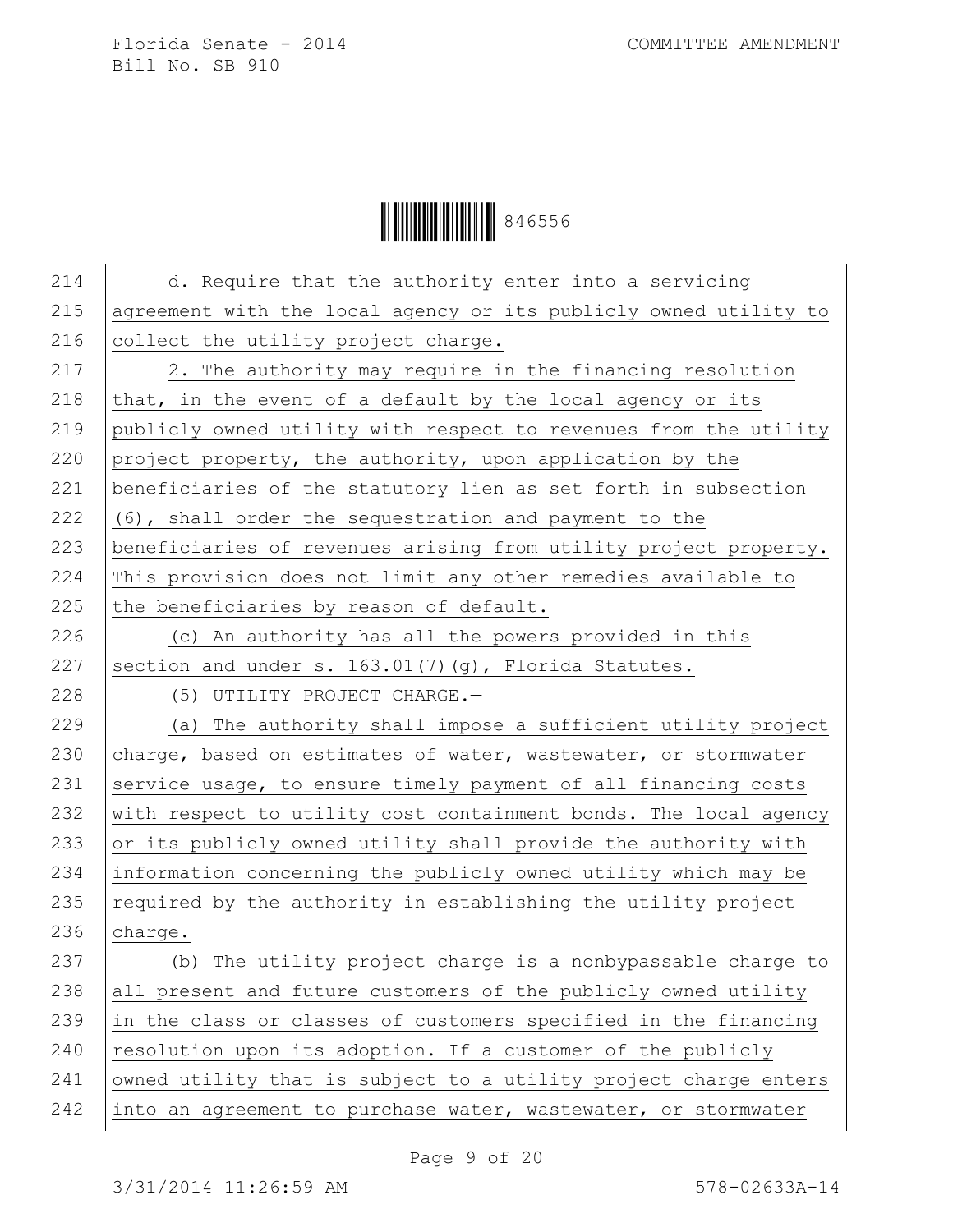Ì846556HÎ846556

| d. Require that the authority enter into a servicing             |
|------------------------------------------------------------------|
| agreement with the local agency or its publicly owned utility to |
| collect the utility project charge.                              |
| 2. The authority may require in the financing resolution         |
| that, in the event of a default by the local agency or its       |
| publicly owned utility with respect to revenues from the utility |
| project property, the authority, upon application by the         |
| beneficiaries of the statutory lien as set forth in subsection   |
| (6), shall order the sequestration and payment to the            |
| beneficiaries of revenues arising from utility project property. |
| This provision does not limit any other remedies available to    |
| the beneficiaries by reason of default.                          |
| (c) An authority has all the powers provided in this             |
| section and under s. 163.01(7)(g), Florida Statutes.             |
| (5) UTILITY PROJECT CHARGE.-                                     |
| (a) The authority shall impose a sufficient utility project      |
| charge, based on estimates of water, wastewater, or stormwater   |
| service usage, to ensure timely payment of all financing costs   |
| with respect to utility cost containment bonds. The local agency |
| or its publicly owned utility shall provide the authority with   |
| information concerning the publicly owned utility which may be   |
| required by the authority in establishing the utility project    |
| charge.                                                          |
| (b) The utility project charge is a nonbypassable charge to      |
| all present and future customers of the publicly owned utility   |
| in the class or classes of customers specified in the financing  |
| resolution upon its adoption. If a customer of the publicly      |
| owned utility that is subject to a utility project charge enters |
| into an agreement to purchase water, wastewater, or stormwater   |
|                                                                  |

Page 9 of 20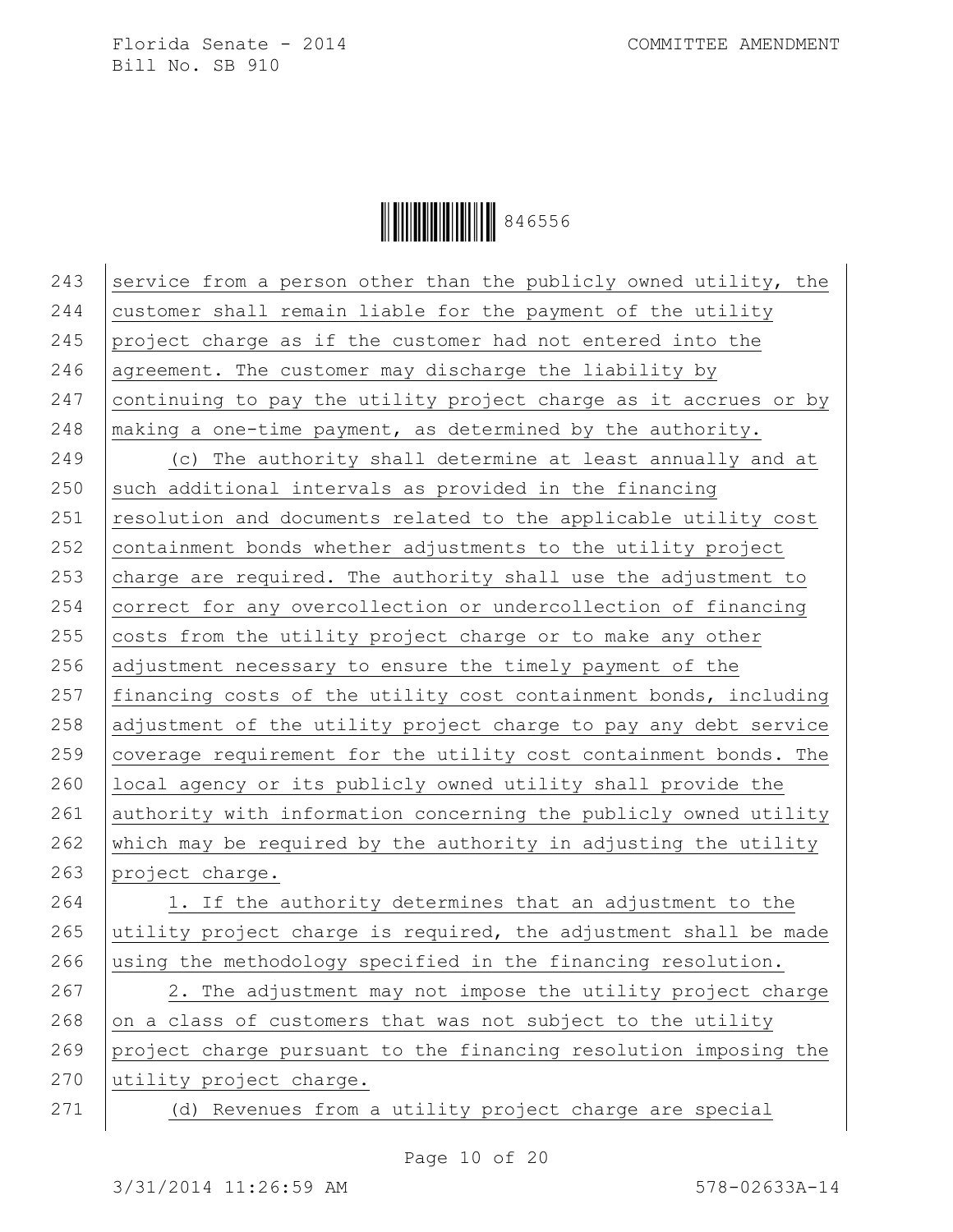**HEIRE III | 846556** 

243 service from a person other than the publicly owned utility, the  $244$  customer shall remain liable for the payment of the utility 245 project charge as if the customer had not entered into the 246 agreement. The customer may discharge the liability by 247 continuing to pay the utility project charge as it accrues or by 248 making a one-time payment, as determined by the authority. 249 (c) The authority shall determine at least annually and at  $250$  such additional intervals as provided in the financing  $251$  resolution and documents related to the applicable utility cost  $252$  containment bonds whether adjustments to the utility project 253  $\alpha$  charge are required. The authority shall use the adjustment to 254 correct for any overcollection or undercollection of financing 255  $\vert$  costs from the utility project charge or to make any other 256 adjustment necessary to ensure the timely payment of the 257 | financing costs of the utility cost containment bonds, including 258 adjustment of the utility project charge to pay any debt service 259 coverage requirement for the utility cost containment bonds. The 260 local agency or its publicly owned utility shall provide the 261 authority with information concerning the publicly owned utility 262 which may be required by the authority in adjusting the utility 263 project charge. 264 1. If the authority determines that an adjustment to the 265 utility project charge is required, the adjustment shall be made 266 using the methodology specified in the financing resolution. 267 | 2. The adjustment may not impose the utility project charge 268 on a class of customers that was not subject to the utility 269 project charge pursuant to the financing resolution imposing the 270 utility project charge. 271 (d) Revenues from a utility project charge are special

Page 10 of 20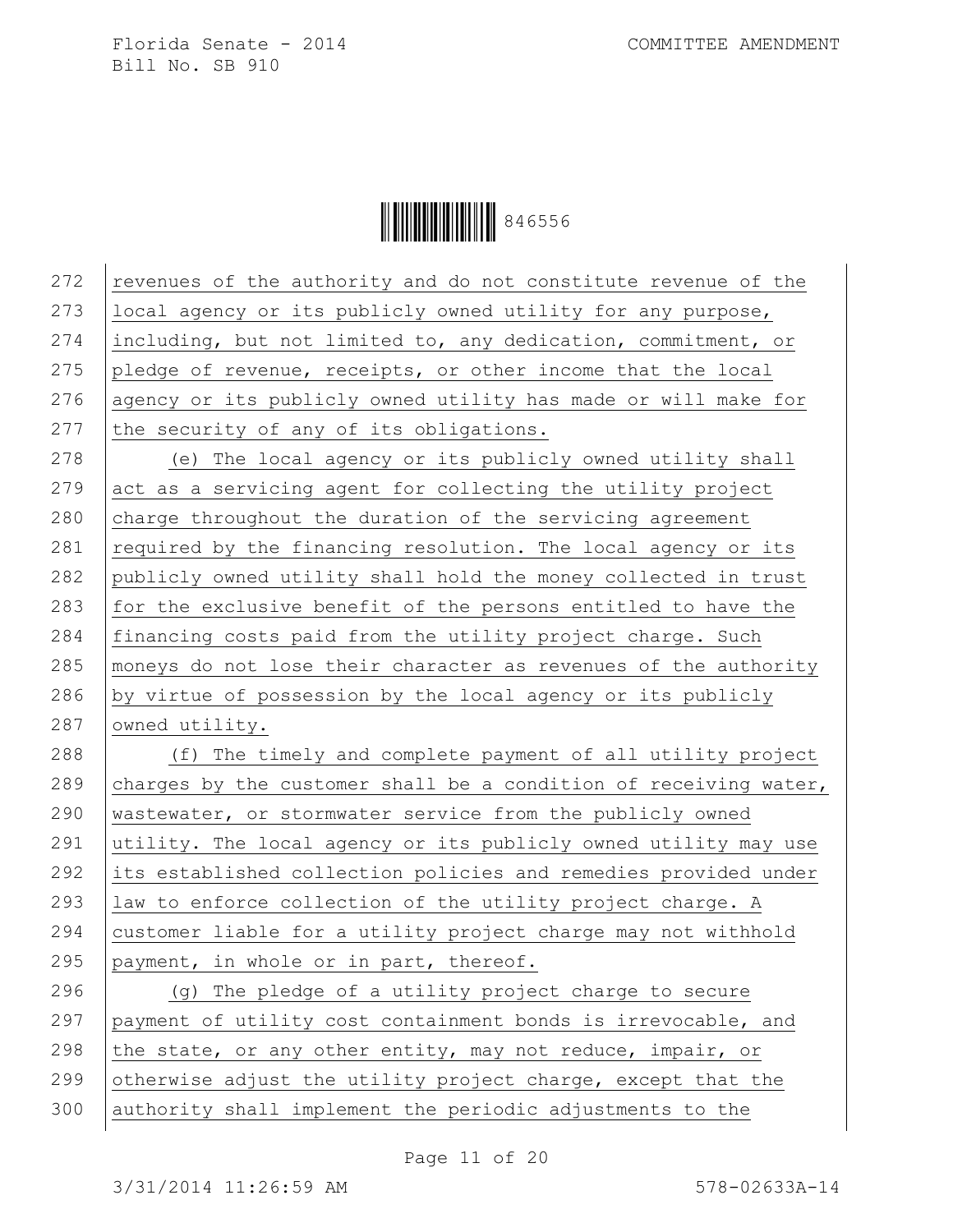Ì846556HÎ846556

 $\vert$  revenues of the authority and do not constitute revenue of the local agency or its publicly owned utility for any purpose, including, but not limited to, any dedication, commitment, or 275 pledge of revenue, receipts, or other income that the local 276 agency or its publicly owned utility has made or will make for 277 the security of any of its obligations. (e) The local agency or its publicly owned utility shall act as a servicing agent for collecting the utility project charge throughout the duration of the servicing agreement  $\vert$  required by the financing resolution. The local agency or its 282 publicly owned utility shall hold the money collected in trust for the exclusive benefit of the persons entitled to have the financing costs paid from the utility project charge. Such moneys do not lose their character as revenues of the authority 286 by virtue of possession by the local agency or its publicly 287 owned utility. (f) The timely and complete payment of all utility project 289 charges by the customer shall be a condition of receiving water, wastewater, or stormwater service from the publicly owned utility. The local agency or its publicly owned utility may use its established collection policies and remedies provided under law to enforce collection of the utility project charge. A customer liable for a utility project charge may not withhold  $\beta$  payment, in whole or in part, thereof. 296 | (g) The pledge of a utility project charge to secure payment of utility cost containment bonds is irrevocable, and 298 the state, or any other entity, may not reduce, impair, or 299 otherwise adjust the utility project charge, except that the authority shall implement the periodic adjustments to the

Page 11 of 20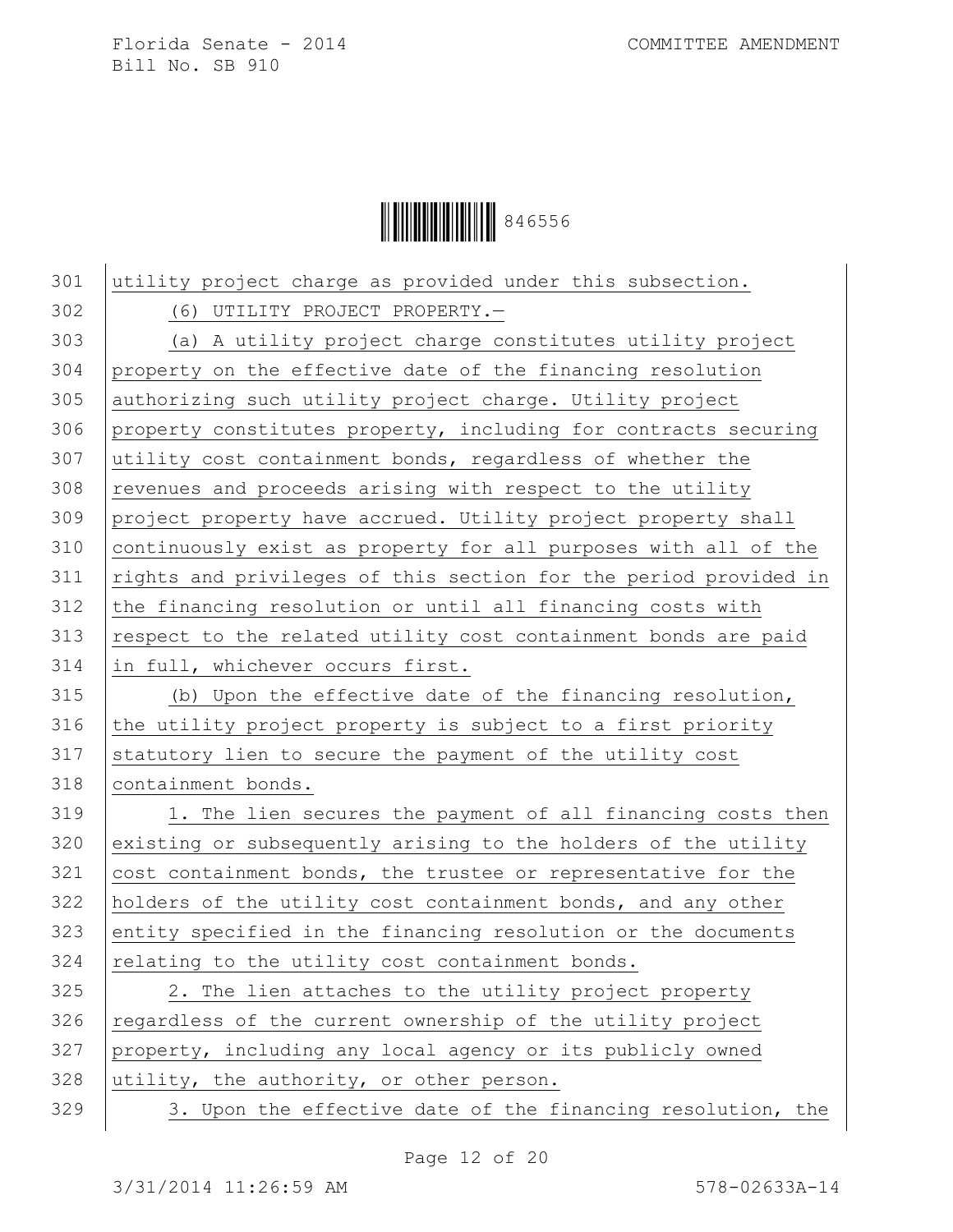Ì846556HÎ846556

 utility project charge as provided under this subsection. (6) UTILITY PROJECT PROPERTY.— (a) A utility project charge constitutes utility project property on the effective date of the financing resolution authorizing such utility project charge. Utility project property constitutes property, including for contracts securing utility cost containment bonds, regardless of whether the revenues and proceeds arising with respect to the utility project property have accrued. Utility project property shall continuously exist as property for all purposes with all of the 311 | rights and privileges of this section for the period provided in the financing resolution or until all financing costs with respect to the related utility cost containment bonds are paid in full, whichever occurs first. (b) Upon the effective date of the financing resolution, 316 the utility project property is subject to a first priority statutory lien to secure the payment of the utility cost containment bonds. 319 1. The lien secures the payment of all financing costs then 320 existing or subsequently arising to the holders of the utility cost containment bonds, the trustee or representative for the holders of the utility cost containment bonds, and any other entity specified in the financing resolution or the documents relating to the utility cost containment bonds. 325 | 2. The lien attaches to the utility project property 326 regardless of the current ownership of the utility project property, including any local agency or its publicly owned utility, the authority, or other person. 329 3. Upon the effective date of the financing resolution, the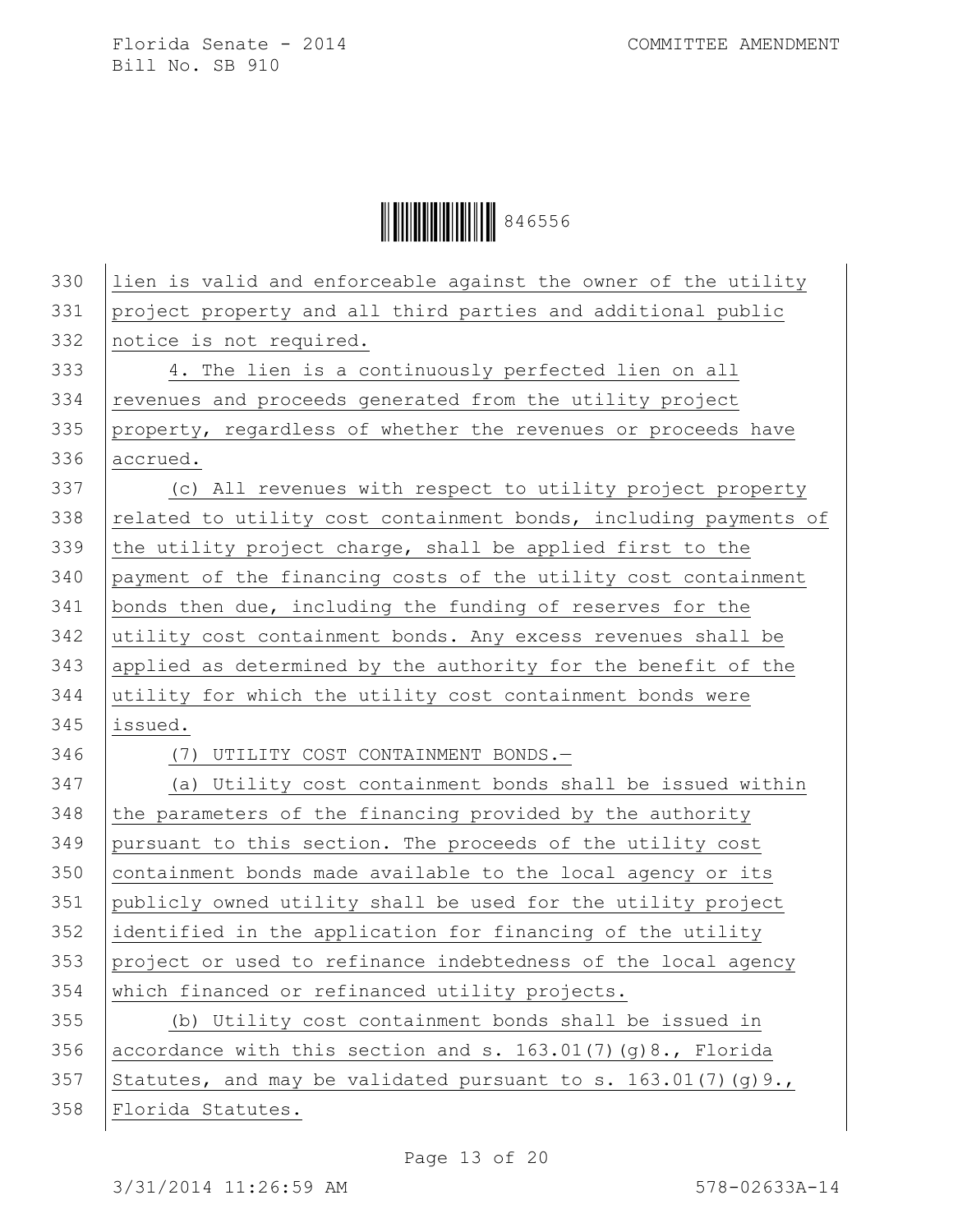| 330 | lien is valid and enforceable against the owner of the utility   |
|-----|------------------------------------------------------------------|
| 331 | project property and all third parties and additional public     |
| 332 | notice is not required.                                          |
| 333 | 4. The lien is a continuously perfected lien on all              |
| 334 | revenues and proceeds generated from the utility project         |
| 335 | property, regardless of whether the revenues or proceeds have    |
| 336 | accrued.                                                         |
| 337 | (c) All revenues with respect to utility project property        |
| 338 | related to utility cost containment bonds, including payments of |
| 339 | the utility project charge, shall be applied first to the        |
| 340 | payment of the financing costs of the utility cost containment   |
| 341 | bonds then due, including the funding of reserves for the        |
| 342 | utility cost containment bonds. Any excess revenues shall be     |
| 343 | applied as determined by the authority for the benefit of the    |
| 344 | utility for which the utility cost containment bonds were        |
| 345 | issued.                                                          |
| 346 | (7) UTILITY COST CONTAINMENT BONDS.-                             |
| 347 | (a) Utility cost containment bonds shall be issued within        |
| 348 | the parameters of the financing provided by the authority        |
| 349 | pursuant to this section. The proceeds of the utility cost       |
| 350 | containment bonds made available to the local agency or its      |
| 351 | publicly owned utility shall be used for the utility project     |
| 352 | identified in the application for financing of the utility       |
| 353 | project or used to refinance indebtedness of the local agency    |
| 354 | which financed or refinanced utility projects.                   |
| 355 | (b) Utility cost containment bonds shall be issued in            |
| 356 | accordance with this section and s. 163.01(7)(g)8., Florida      |
| 357 | Statutes, and may be validated pursuant to s. $163.01(7)(q)9.$ , |
| 358 | Florida Statutes.                                                |
|     |                                                                  |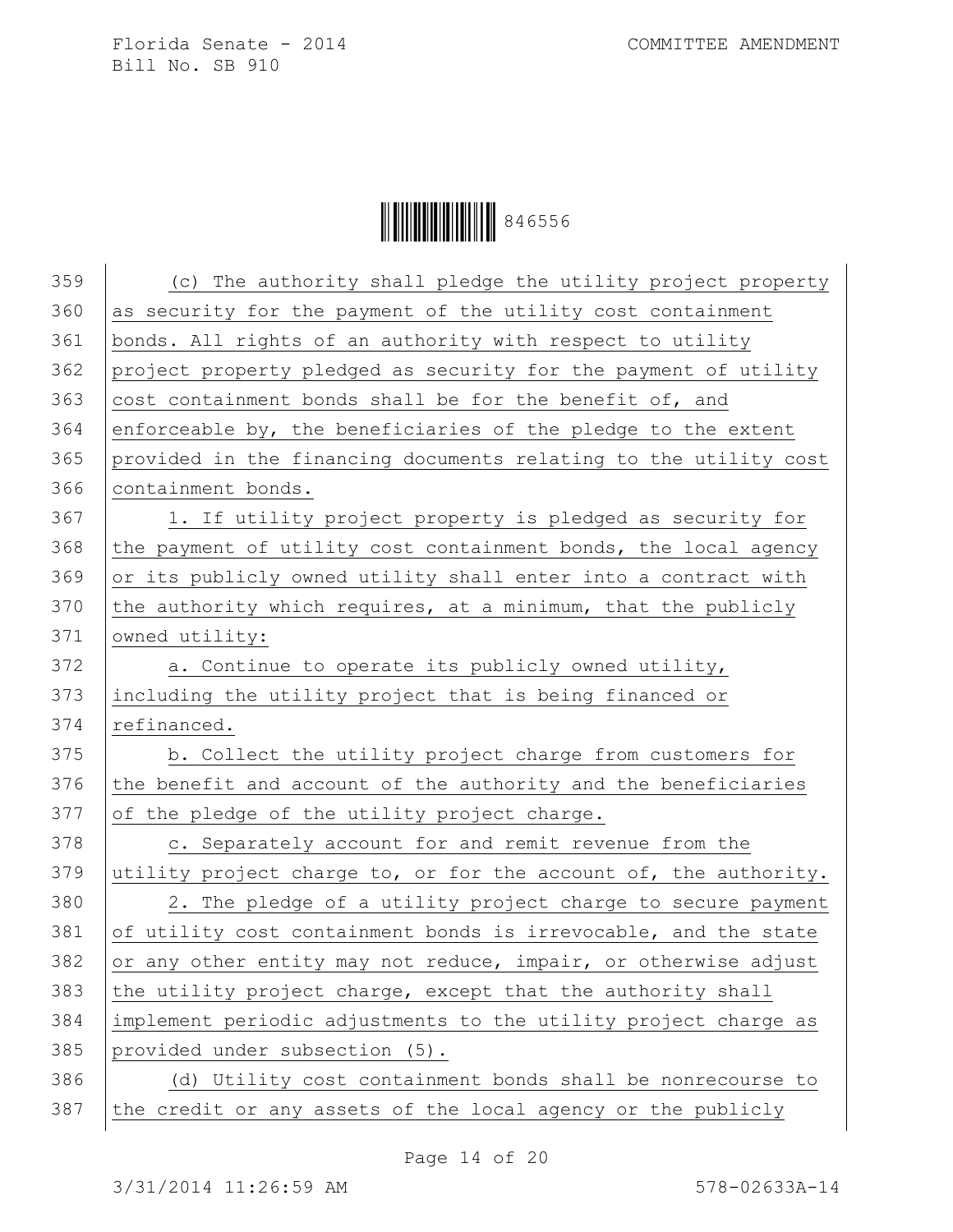**HEIRE III 846556** 

| 359 | (c) The authority shall pledge the utility project property      |
|-----|------------------------------------------------------------------|
| 360 | as security for the payment of the utility cost containment      |
| 361 | bonds. All rights of an authority with respect to utility        |
| 362 | project property pledged as security for the payment of utility  |
| 363 | cost containment bonds shall be for the benefit of, and          |
| 364 | enforceable by, the beneficiaries of the pledge to the extent    |
| 365 | provided in the financing documents relating to the utility cost |
| 366 | containment bonds.                                               |
| 367 | 1. If utility project property is pledged as security for        |
| 368 |                                                                  |
|     | the payment of utility cost containment bonds, the local agency  |
| 369 | or its publicly owned utility shall enter into a contract with   |
| 370 | the authority which requires, at a minimum, that the publicly    |
| 371 | owned utility:                                                   |
| 372 | a. Continue to operate its publicly owned utility,               |
| 373 | including the utility project that is being financed or          |
| 374 | refinanced.                                                      |
| 375 | b. Collect the utility project charge from customers for         |
| 376 | the benefit and account of the authority and the beneficiaries   |
| 377 | of the pledge of the utility project charge.                     |
| 378 | c. Separately account for and remit revenue from the             |
| 379 | utility project charge to, or for the account of, the authority. |
| 380 | 2. The pledge of a utility project charge to secure payment      |
| 381 | of utility cost containment bonds is irrevocable, and the state  |
| 382 | or any other entity may not reduce, impair, or otherwise adjust  |
| 383 | the utility project charge, except that the authority shall      |
| 384 | implement periodic adjustments to the utility project charge as  |
| 385 | provided under subsection (5).                                   |
| 386 | (d) Utility cost containment bonds shall be nonrecourse to       |
| 387 | the credit or any assets of the local agency or the publicly     |
|     |                                                                  |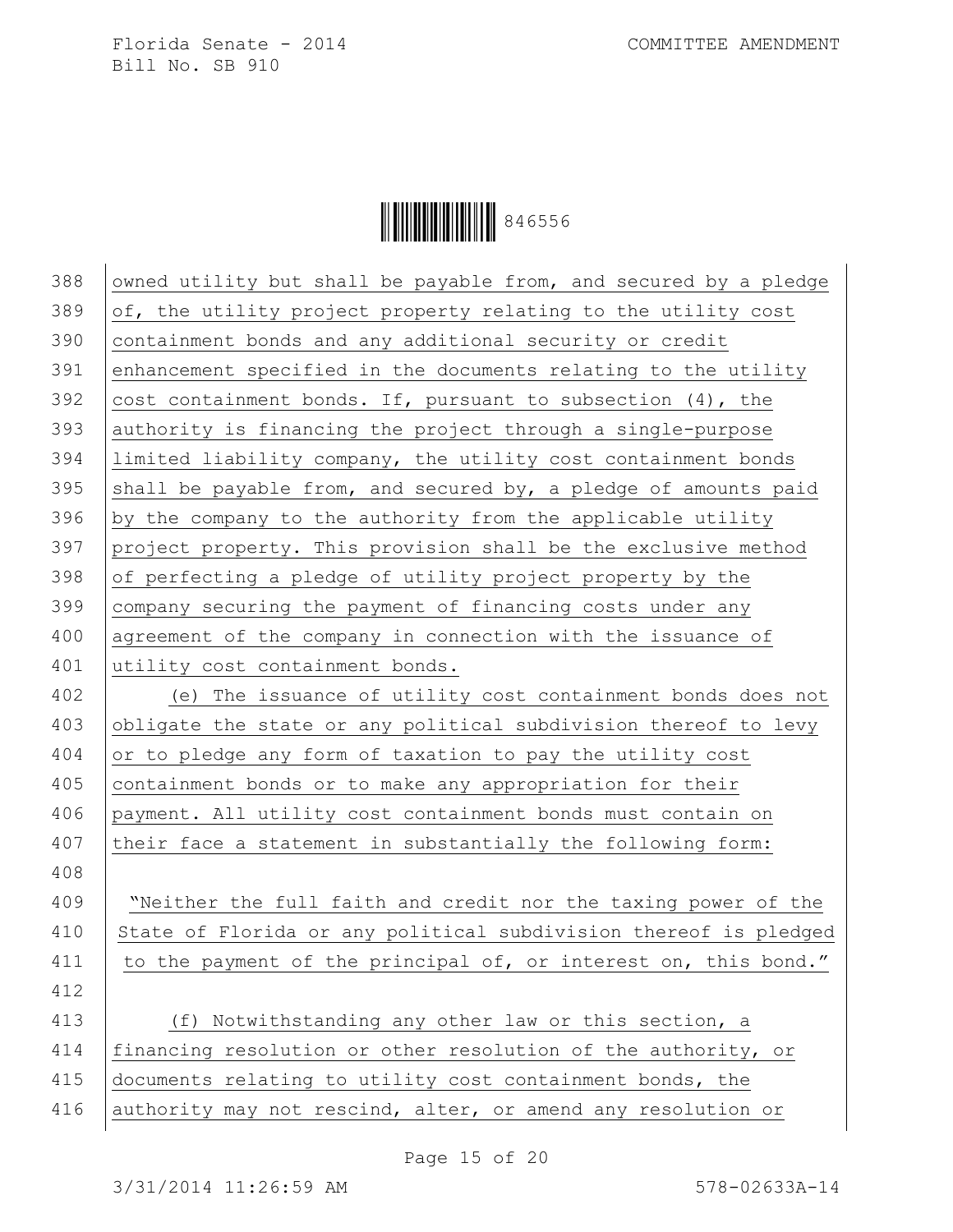Ì846556HÎ846556

| 388 | owned utility but shall be payable from, and secured by a pledge |
|-----|------------------------------------------------------------------|
| 389 | of, the utility project property relating to the utility cost    |
| 390 | containment bonds and any additional security or credit          |
| 391 | enhancement specified in the documents relating to the utility   |
| 392 | cost containment bonds. If, pursuant to subsection (4), the      |
| 393 | authority is financing the project through a single-purpose      |
| 394 | limited liability company, the utility cost containment bonds    |
| 395 | shall be payable from, and secured by, a pledge of amounts paid  |
| 396 | by the company to the authority from the applicable utility      |
| 397 | project property. This provision shall be the exclusive method   |
| 398 | of perfecting a pledge of utility project property by the        |
| 399 | company securing the payment of financing costs under any        |
| 400 | agreement of the company in connection with the issuance of      |
| 401 | utility cost containment bonds.                                  |
| 402 | (e) The issuance of utility cost containment bonds does not      |
| 403 | obligate the state or any political subdivision thereof to levy  |
| 404 | or to pledge any form of taxation to pay the utility cost        |
| 405 | containment bonds or to make any appropriation for their         |
| 406 | payment. All utility cost containment bonds must contain on      |
| 407 | their face a statement in substantially the following form:      |
| 408 |                                                                  |
| 409 | "Neither the full faith and credit nor the taxing power of the   |
| 410 | State of Florida or any political subdivision thereof is pledged |
| 411 | to the payment of the principal of, or interest on, this bond."  |
| 412 |                                                                  |
| 413 | (f) Notwithstanding any other law or this section, a             |
| 414 | financing resolution or other resolution of the authority, or    |
| 415 | documents relating to utility cost containment bonds, the        |
| 416 | authority may not rescind, alter, or amend any resolution or     |
|     |                                                                  |

Page 15 of 20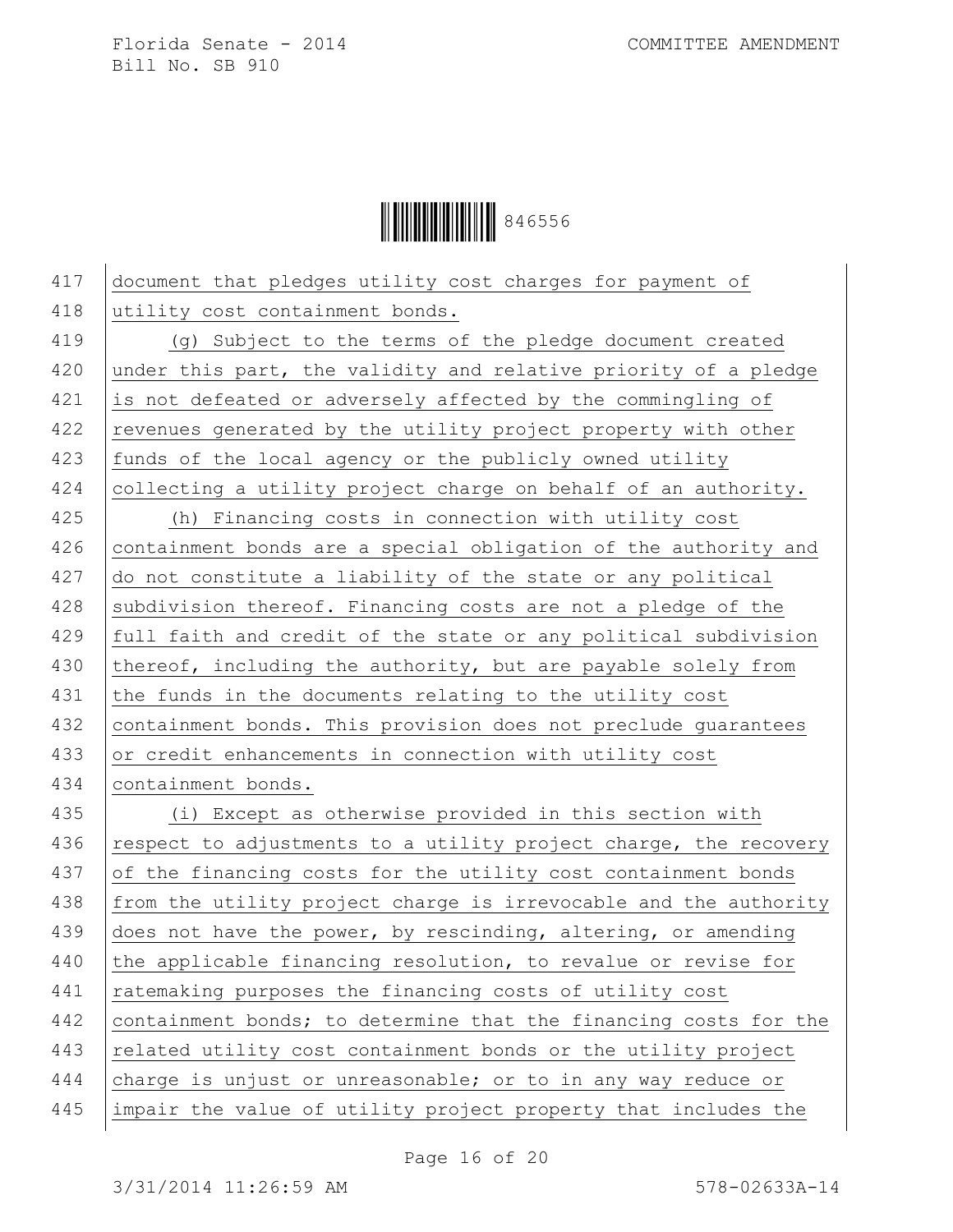Ì846556HÎ846556

417 document that pledges utility cost charges for payment of 418 utility cost containment bonds. 419 (g) Subject to the terms of the pledge document created 420 under this part, the validity and relative priority of a pledge 421 is not defeated or adversely affected by the commingling of  $422$  revenues generated by the utility project property with other 423 funds of the local agency or the publicly owned utility 424 collecting a utility project charge on behalf of an authority. 425 (h) Financing costs in connection with utility cost 426 containment bonds are a special obligation of the authority and 427 do not constitute a liability of the state or any political 428 subdivision thereof. Financing costs are not a pledge of the 429 full faith and credit of the state or any political subdivision 430 thereof, including the authority, but are payable solely from 431 the funds in the documents relating to the utility cost 432 containment bonds. This provision does not preclude guarantees 433 or credit enhancements in connection with utility cost 434 containment bonds. 435 (i) Except as otherwise provided in this section with 436 respect to adjustments to a utility project charge, the recovery  $437$  of the financing costs for the utility cost containment bonds 438 from the utility project charge is irrevocable and the authority 439 does not have the power, by rescinding, altering, or amending 440 the applicable financing resolution, to revalue or revise for 441 | ratemaking purposes the financing costs of utility cost 442 containment bonds; to determine that the financing costs for the 443 related utility cost containment bonds or the utility project 444 charge is unjust or unreasonable; or to in any way reduce or 445 impair the value of utility project property that includes the

Page 16 of 20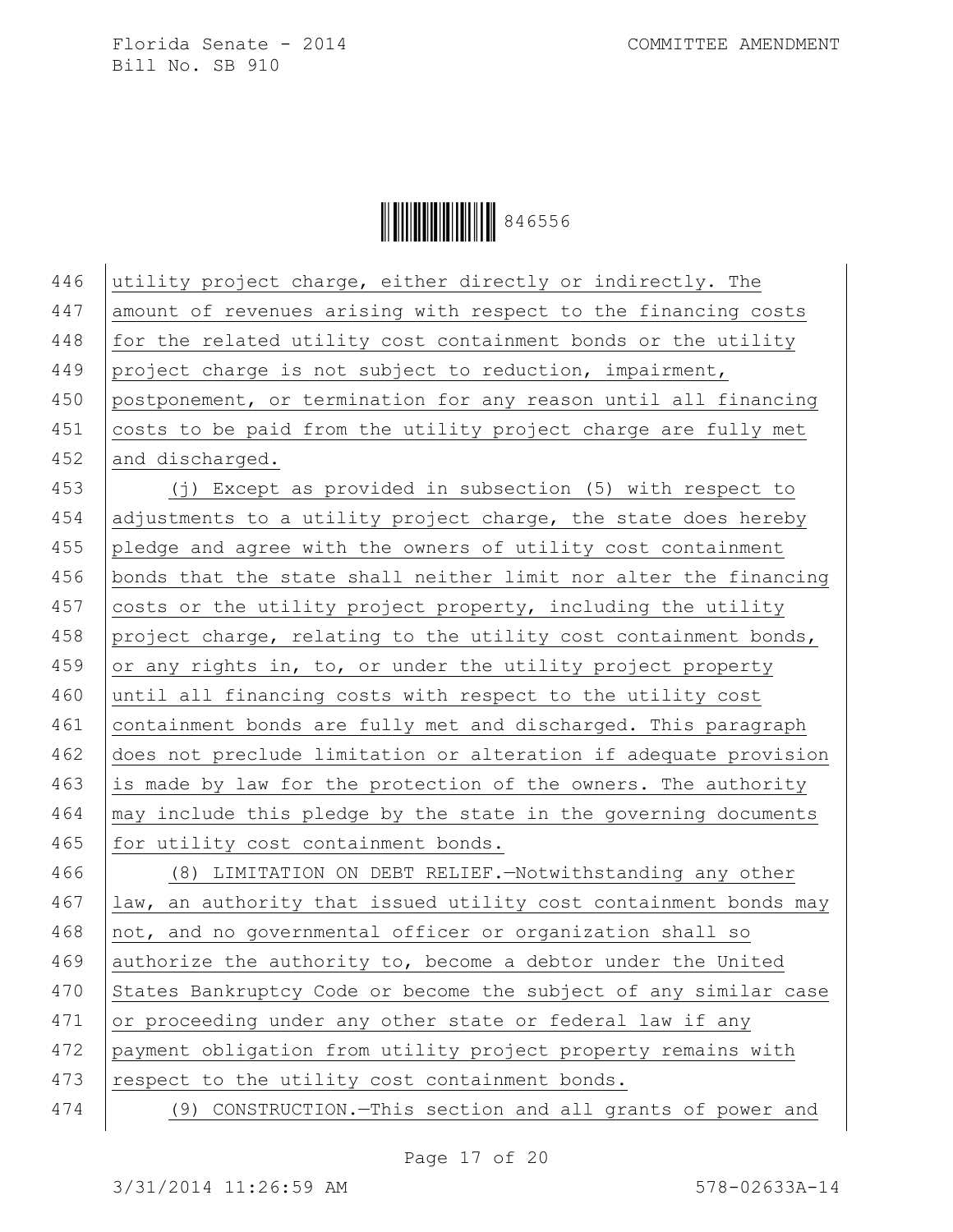Ì846556HÎ846556

| 446 | utility project charge, either directly or indirectly. The       |
|-----|------------------------------------------------------------------|
| 447 | amount of revenues arising with respect to the financing costs   |
| 448 | for the related utility cost containment bonds or the utility    |
| 449 | project charge is not subject to reduction, impairment,          |
| 450 | postponement, or termination for any reason until all financing  |
| 451 | costs to be paid from the utility project charge are fully met   |
| 452 | and discharged.                                                  |
| 453 | (j) Except as provided in subsection (5) with respect to         |
| 454 | adjustments to a utility project charge, the state does hereby   |
| 455 | pledge and agree with the owners of utility cost containment     |
| 456 | bonds that the state shall neither limit nor alter the financing |
| 457 | costs or the utility project property, including the utility     |
| 458 | project charge, relating to the utility cost containment bonds,  |
| 459 | or any rights in, to, or under the utility project property      |
| 460 | until all financing costs with respect to the utility cost       |
| 461 | containment bonds are fully met and discharged. This paragraph   |
| 462 | does not preclude limitation or alteration if adequate provision |
| 463 | is made by law for the protection of the owners. The authority   |
| 464 | may include this pledge by the state in the governing documents  |
| 465 | for utility cost containment bonds.                              |
| 466 | (8) LIMITATION ON DEBT RELIEF. - Notwithstanding any other       |
| 467 | law, an authority that issued utility cost containment bonds may |
| 468 | not, and no governmental officer or organization shall so        |
| 469 | authorize the authority to, become a debtor under the United     |
| 470 | States Bankruptcy Code or become the subject of any similar case |
| 471 | or proceeding under any other state or federal law if any        |
| 472 | payment obligation from utility project property remains with    |
| 473 | respect to the utility cost containment bonds.                   |
| 474 | (9) CONSTRUCTION. - This section and all grants of power and     |
|     |                                                                  |

Page 17 of 20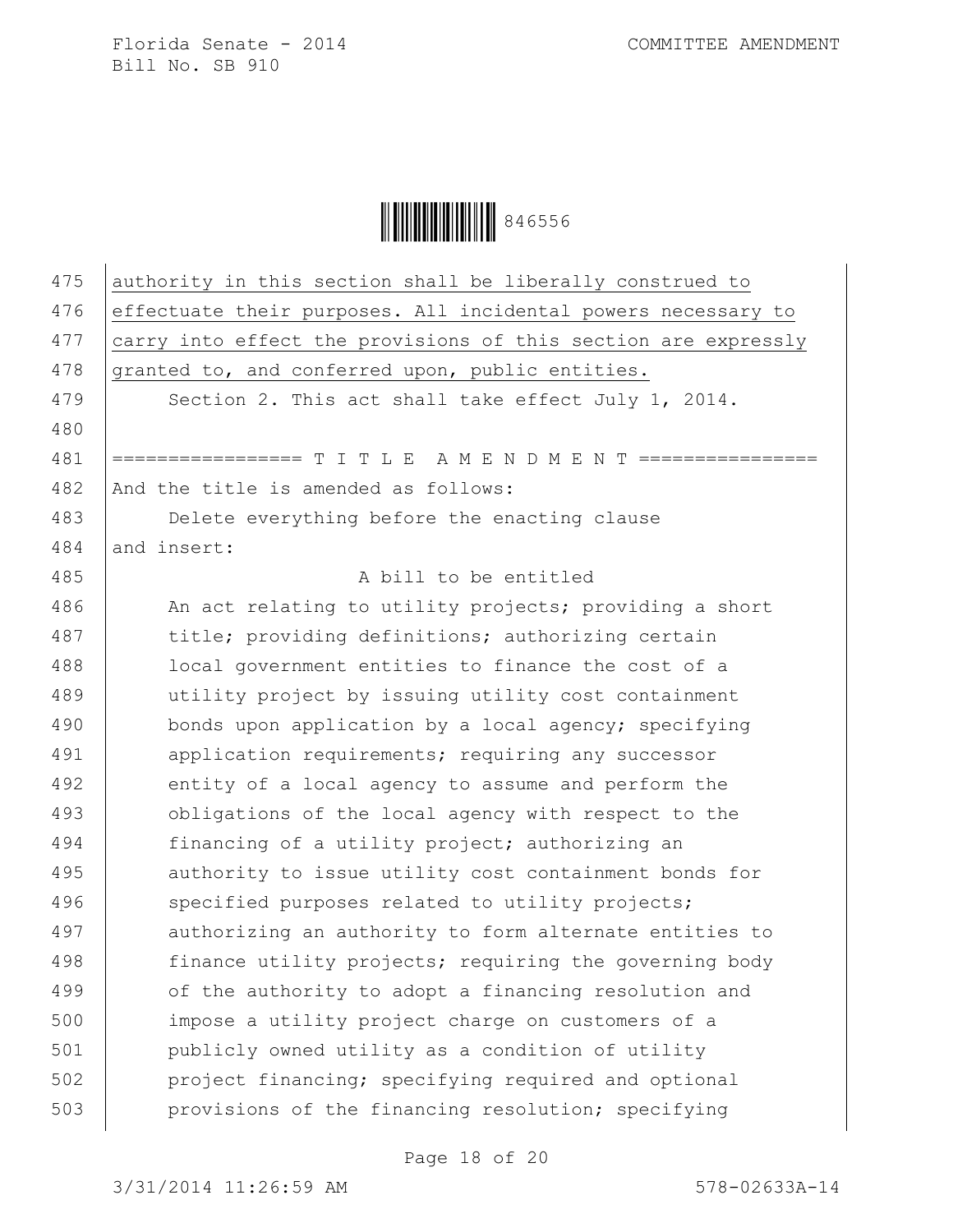| 475 | authority in this section shall be liberally construed to      |
|-----|----------------------------------------------------------------|
| 476 | effectuate their purposes. All incidental powers necessary to  |
| 477 | carry into effect the provisions of this section are expressly |
| 478 | granted to, and conferred upon, public entities.               |
| 479 | Section 2. This act shall take effect July 1, 2014.            |
| 480 |                                                                |
| 481 | ================ T I T L E  A M E N D M E N T ================ |
| 482 | And the title is amended as follows:                           |
| 483 | Delete everything before the enacting clause                   |
| 484 | and insert:                                                    |
| 485 | A bill to be entitled                                          |
| 486 | An act relating to utility projects; providing a short         |
| 487 | title; providing definitions; authorizing certain              |
| 488 | local government entities to finance the cost of a             |
| 489 | utility project by issuing utility cost containment            |
| 490 | bonds upon application by a local agency; specifying           |
| 491 | application requirements; requiring any successor              |
| 492 | entity of a local agency to assume and perform the             |
| 493 | obligations of the local agency with respect to the            |
| 494 | financing of a utility project; authorizing an                 |
| 495 | authority to issue utility cost containment bonds for          |
| 496 | specified purposes related to utility projects;                |
| 497 | authorizing an authority to form alternate entities to         |
| 498 | finance utility projects; requiring the governing body         |
| 499 | of the authority to adopt a financing resolution and           |
| 500 | impose a utility project charge on customers of a              |
| 501 | publicly owned utility as a condition of utility               |
| 502 | project financing; specifying required and optional            |
| 503 | provisions of the financing resolution; specifying             |
|     |                                                                |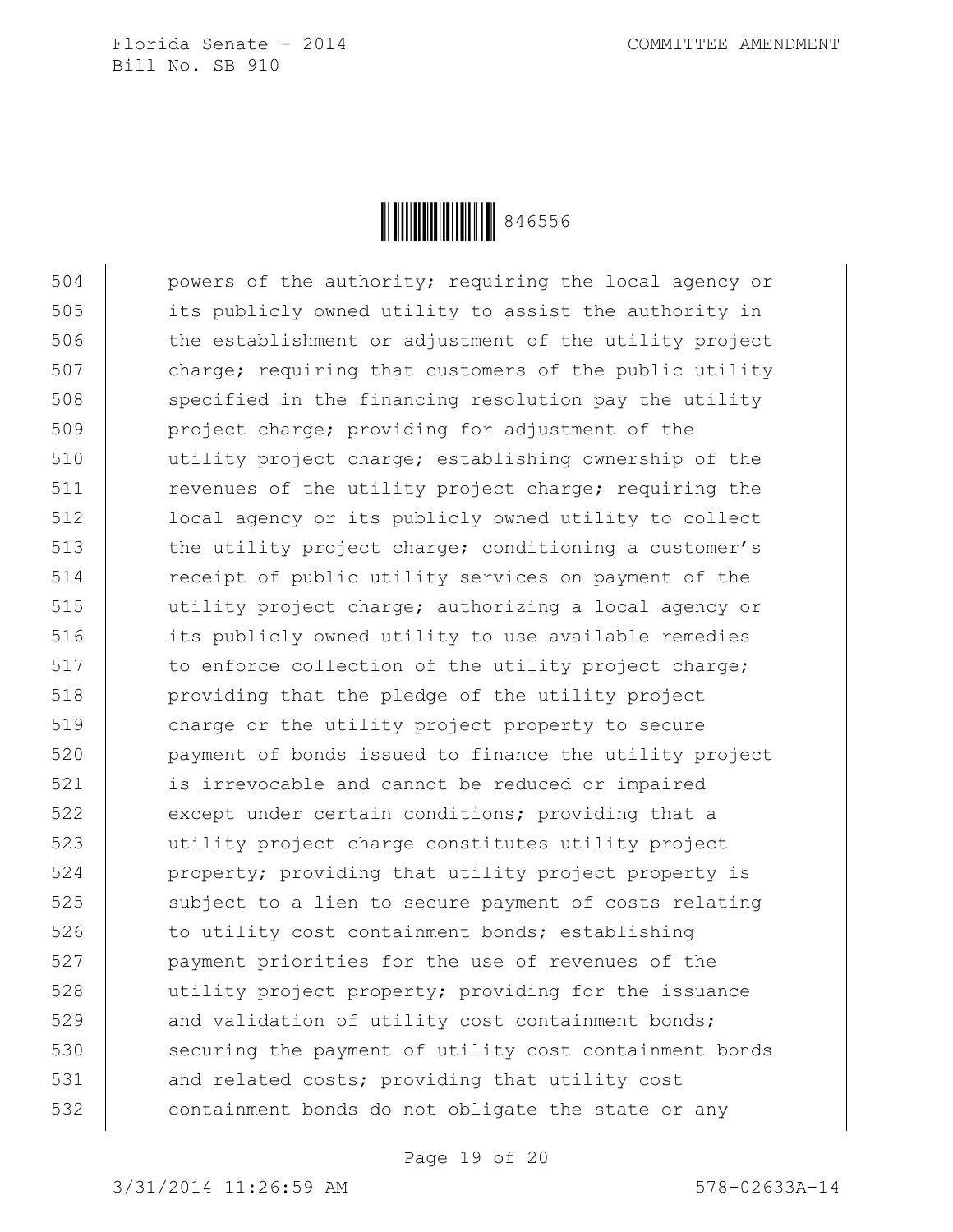

504 powers of the authority; requiring the local agency or 505 its publicly owned utility to assist the authority in 506 the establishment or adjustment of the utility project 507 charge; requiring that customers of the public utility 508 specified in the financing resolution pay the utility 509 project charge; providing for adjustment of the 510 utility project charge; establishing ownership of the 511 revenues of the utility project charge; requiring the 512 local agency or its publicly owned utility to collect 513 the utility project charge; conditioning a customer's 514 Teceipt of public utility services on payment of the 515 utility project charge; authorizing a local agency or 516 its publicly owned utility to use available remedies 517 to enforce collection of the utility project charge; 518 providing that the pledge of the utility project 519 charge or the utility project property to secure 520 payment of bonds issued to finance the utility project 521 is irrevocable and cannot be reduced or impaired 522 except under certain conditions; providing that a 523 utility project charge constitutes utility project 524 property; providing that utility project property is 525 subject to a lien to secure payment of costs relating 526 to utility cost containment bonds; establishing 527 payment priorities for the use of revenues of the 528 utility project property; providing for the issuance 529 and validation of utility cost containment bonds; 530 securing the payment of utility cost containment bonds 531 and related costs; providing that utility cost 532 containment bonds do not obligate the state or any

Page 19 of 20